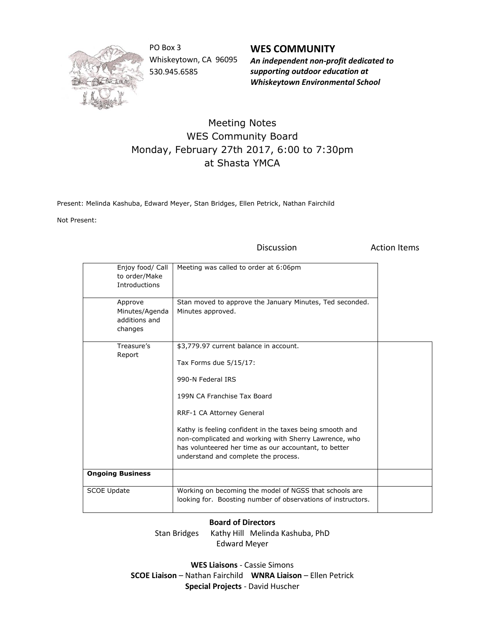

PO Box 3 Whiskeytown, CA 96095 530.945.6585

**WES COMMUNITY** *An independent non-profit dedicated to supporting outdoor education at Whiskeytown Environmental School*

## Meeting Notes WES Community Board Monday, February 27th 2017, 6:00 to 7:30pm at Shasta YMCA

Present: Melinda Kashuba, Edward Meyer, Stan Bridges, Ellen Petrick, Nathan Fairchild

Not Present:

Discussion **Action** Items

| Enjoy food/ Call<br>to order/Make<br><b>Introductions</b> | Meeting was called to order at 6:06pm                                                                                                                                                                                                                                                                                                                                   |  |
|-----------------------------------------------------------|-------------------------------------------------------------------------------------------------------------------------------------------------------------------------------------------------------------------------------------------------------------------------------------------------------------------------------------------------------------------------|--|
| Approve<br>Minutes/Agenda<br>additions and<br>changes     | Stan moved to approve the January Minutes, Ted seconded.<br>Minutes approved.                                                                                                                                                                                                                                                                                           |  |
| Treasure's<br>Report                                      | \$3,779.97 current balance in account.<br>Tax Forms due 5/15/17:<br>990-N Federal IRS<br>199N CA Franchise Tax Board<br>RRF-1 CA Attorney General<br>Kathy is feeling confident in the taxes being smooth and<br>non-complicated and working with Sherry Lawrence, who<br>has volunteered her time as our accountant, to better<br>understand and complete the process. |  |
| <b>Ongoing Business</b>                                   |                                                                                                                                                                                                                                                                                                                                                                         |  |
| <b>SCOE Update</b>                                        | Working on becoming the model of NGSS that schools are<br>looking for. Boosting number of observations of instructors.                                                                                                                                                                                                                                                  |  |

## **Board of Directors**

Stan Bridges Kathy Hill Melinda Kashuba, PhD Edward Meyer

**WES Liaisons** - Cassie Simons **SCOE Liaison** – Nathan Fairchild **WNRA Liaison** – Ellen Petrick **Special Projects** - David Huscher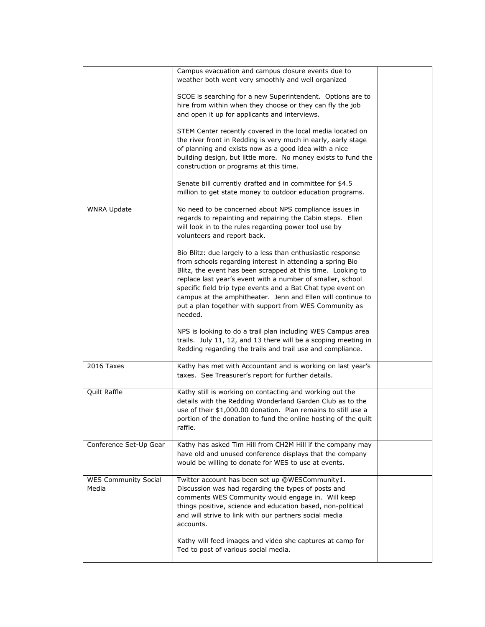|                                      | Campus evacuation and campus closure events due to<br>weather both went very smoothly and well organized                                                                                                                                                                                                                                                                                                                                                  |  |
|--------------------------------------|-----------------------------------------------------------------------------------------------------------------------------------------------------------------------------------------------------------------------------------------------------------------------------------------------------------------------------------------------------------------------------------------------------------------------------------------------------------|--|
|                                      | SCOE is searching for a new Superintendent. Options are to<br>hire from within when they choose or they can fly the job<br>and open it up for applicants and interviews.                                                                                                                                                                                                                                                                                  |  |
|                                      | STEM Center recently covered in the local media located on<br>the river front in Redding is very much in early, early stage<br>of planning and exists now as a good idea with a nice<br>building design, but little more. No money exists to fund the<br>construction or programs at this time.                                                                                                                                                           |  |
|                                      | Senate bill currently drafted and in committee for \$4.5<br>million to get state money to outdoor education programs.                                                                                                                                                                                                                                                                                                                                     |  |
| <b>WNRA Update</b>                   | No need to be concerned about NPS compliance issues in<br>regards to repainting and repairing the Cabin steps. Ellen<br>will look in to the rules regarding power tool use by<br>volunteers and report back.                                                                                                                                                                                                                                              |  |
|                                      | Bio Blitz: due largely to a less than enthusiastic response<br>from schools regarding interest in attending a spring Bio<br>Blitz, the event has been scrapped at this time. Looking to<br>replace last year's event with a number of smaller, school<br>specific field trip type events and a Bat Chat type event on<br>campus at the amphitheater. Jenn and Ellen will continue to<br>put a plan together with support from WES Community as<br>needed. |  |
|                                      | NPS is looking to do a trail plan including WES Campus area<br>trails. July 11, 12, and 13 there will be a scoping meeting in<br>Redding regarding the trails and trail use and compliance.                                                                                                                                                                                                                                                               |  |
| 2016 Taxes                           | Kathy has met with Accountant and is working on last year's<br>taxes. See Treasurer's report for further details.                                                                                                                                                                                                                                                                                                                                         |  |
| Quilt Raffle                         | Kathy still is working on contacting and working out the<br>details with the Redding Wonderland Garden Club as to the<br>use of their \$1,000.00 donation. Plan remains to still use a<br>portion of the donation to fund the online hosting of the quilt<br>raffle.                                                                                                                                                                                      |  |
| Conference Set-Up Gear               | Kathy has asked Tim Hill from CH2M Hill if the company may<br>have old and unused conference displays that the company<br>would be willing to donate for WES to use at events.                                                                                                                                                                                                                                                                            |  |
| <b>WES Community Social</b><br>Media | Twitter account has been set up @WESCommunity1.<br>Discussion was had regarding the types of posts and<br>comments WES Community would engage in. Will keep<br>things positive, science and education based, non-political<br>and will strive to link with our partners social media<br>accounts.                                                                                                                                                         |  |
|                                      | Kathy will feed images and video she captures at camp for<br>Ted to post of various social media.                                                                                                                                                                                                                                                                                                                                                         |  |